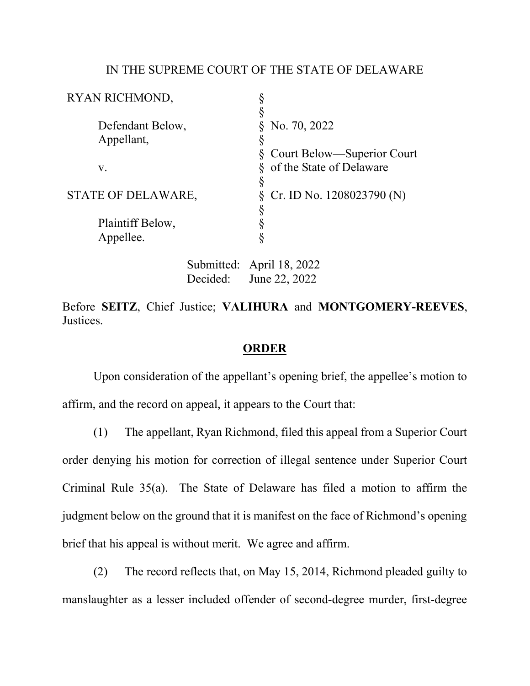## IN THE SUPREME COURT OF THE STATE OF DELAWARE

| RYAN RICHMOND,     |                                        |
|--------------------|----------------------------------------|
|                    |                                        |
| Defendant Below,   | No. 70, 2022                           |
| Appellant,         | $\S$                                   |
|                    | Court Below—Superior Court<br>$\delta$ |
| V.                 | of the State of Delaware               |
|                    | Š                                      |
| STATE OF DELAWARE, | Cr. ID No. $1208023790$ (N)<br>8       |
|                    | 8                                      |
| Plaintiff Below,   |                                        |
| Appellee.          |                                        |
|                    |                                        |

 Submitted: April 18, 2022 Decided: June 22, 2022

Before SEITZ, Chief Justice; VALIHURA and MONTGOMERY-REEVES, Justices.

## **ORDER**

Upon consideration of the appellant's opening brief, the appellee's motion to affirm, and the record on appeal, it appears to the Court that:

(1) The appellant, Ryan Richmond, filed this appeal from a Superior Court order denying his motion for correction of illegal sentence under Superior Court Criminal Rule 35(a). The State of Delaware has filed a motion to affirm the judgment below on the ground that it is manifest on the face of Richmond's opening brief that his appeal is without merit. We agree and affirm.

(2) The record reflects that, on May 15, 2014, Richmond pleaded guilty to manslaughter as a lesser included offender of second-degree murder, first-degree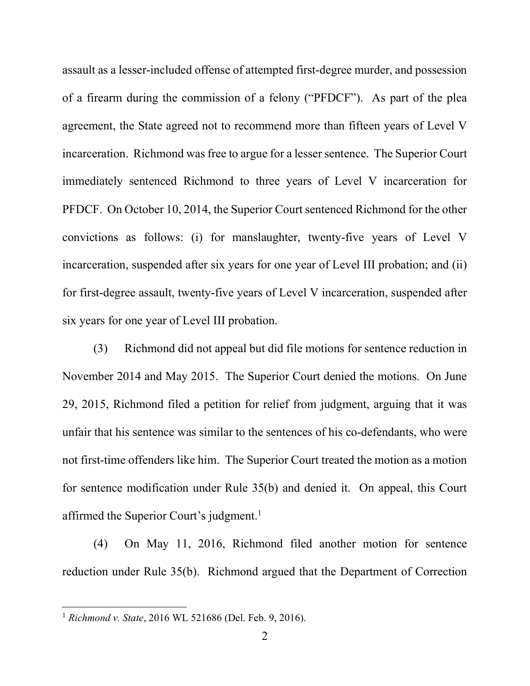assault as a lesser-included offense of attempted first-degree murder, and possession of a firearm during the commission of a felony ("PFDCF"). As part of the plea agreement, the State agreed not to recommend more than fifteen years of Level V incarceration. Richmond was free to argue for a lesser sentence. The Superior Court immediately sentenced Richmond to three years of Level V incarceration for PFDCF. On October 10, 2014, the Superior Court sentenced Richmond for the other convictions as follows: (i) for manslaughter, twenty-five years of Level V incarceration, suspended after six years for one year of Level III probation; and (ii) for first-degree assault, twenty-five years of Level V incarceration, suspended after six years for one year of Level III probation.

(3) Richmond did not appeal but did file motions for sentence reduction in November 2014 and May 2015. The Superior Court denied the motions. On June 29, 2015, Richmond filed a petition for relief from judgment, arguing that it was unfair that his sentence was similar to the sentences of his co-defendants, who were not first-time offenders like him. The Superior Court treated the motion as a motion for sentence modification under Rule 35(b) and denied it. On appeal, this Court affirmed the Superior Court's judgment.<sup>1</sup>

(4) On May 11, 2016, Richmond filed another motion for sentence reduction under Rule 35(b). Richmond argued that the Department of Correction

 $1$  Richmond v. State, 2016 WL 521686 (Del. Feb. 9, 2016).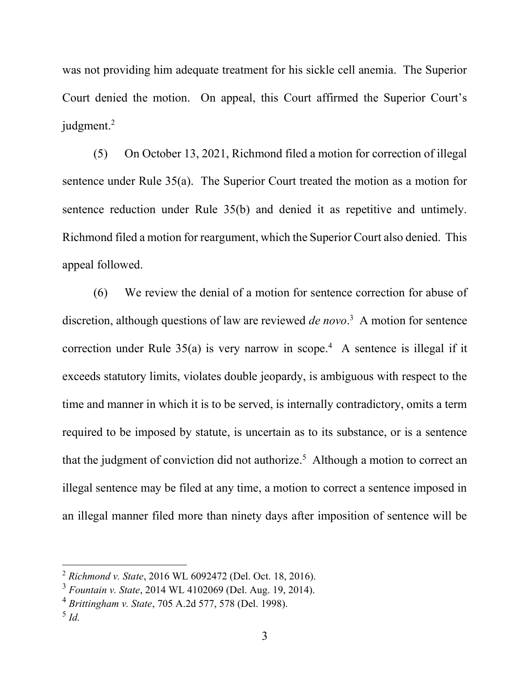was not providing him adequate treatment for his sickle cell anemia. The Superior Court denied the motion. On appeal, this Court affirmed the Superior Court's judgment.<sup>2</sup>

(5) On October 13, 2021, Richmond filed a motion for correction of illegal sentence under Rule 35(a). The Superior Court treated the motion as a motion for sentence reduction under Rule 35(b) and denied it as repetitive and untimely. Richmond filed a motion for reargument, which the Superior Court also denied. This appeal followed.

(6) We review the denial of a motion for sentence correction for abuse of discretion, although questions of law are reviewed *de novo*.<sup>3</sup> A motion for sentence correction under Rule  $35(a)$  is very narrow in scope.<sup>4</sup> A sentence is illegal if it exceeds statutory limits, violates double jeopardy, is ambiguous with respect to the time and manner in which it is to be served, is internally contradictory, omits a term required to be imposed by statute, is uncertain as to its substance, or is a sentence that the judgment of conviction did not authorize.<sup>5</sup> Although a motion to correct an illegal sentence may be filed at any time, a motion to correct a sentence imposed in an illegal manner filed more than ninety days after imposition of sentence will be

<sup>2</sup> Richmond v. State, 2016 WL 6092472 (Del. Oct. 18, 2016).

 $3$  Fountain v. State, 2014 WL 4102069 (Del. Aug. 19, 2014).

<sup>4</sup> Brittingham v. State, 705 A.2d 577, 578 (Del. 1998).

 $^5$  Id.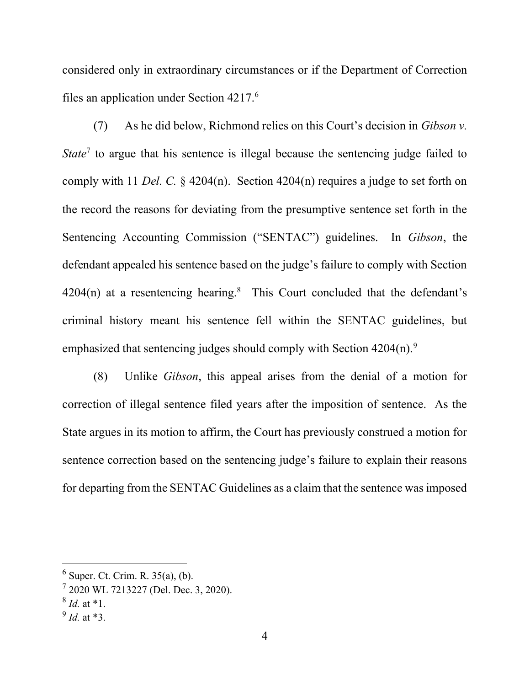considered only in extraordinary circumstances or if the Department of Correction files an application under Section 4217.<sup>6</sup>

(7) As he did below, Richmond relies on this Court's decision in Gibson v. State<sup>7</sup> to argue that his sentence is illegal because the sentencing judge failed to comply with 11 Del. C.  $\frac{204(n)}{204(n)}$ . Section 4204(n) requires a judge to set forth on the record the reasons for deviating from the presumptive sentence set forth in the Sentencing Accounting Commission ("SENTAC") guidelines. In Gibson, the defendant appealed his sentence based on the judge's failure to comply with Section  $4204(n)$  at a resentencing hearing.<sup>8</sup> This Court concluded that the defendant's criminal history meant his sentence fell within the SENTAC guidelines, but emphasized that sentencing judges should comply with Section  $4204(n)$ .<sup>9</sup>

(8) Unlike Gibson, this appeal arises from the denial of a motion for correction of illegal sentence filed years after the imposition of sentence. As the State argues in its motion to affirm, the Court has previously construed a motion for sentence correction based on the sentencing judge's failure to explain their reasons for departing from the SENTAC Guidelines as a claim that the sentence was imposed

 $<sup>6</sup>$  Super. Ct. Crim. R. 35(a), (b).</sup>

<sup>7</sup> 2020 WL 7213227 (Del. Dec. 3, 2020).

 $8$  *Id.* at  $*1$ .

 $9$  *Id.* at \*3.